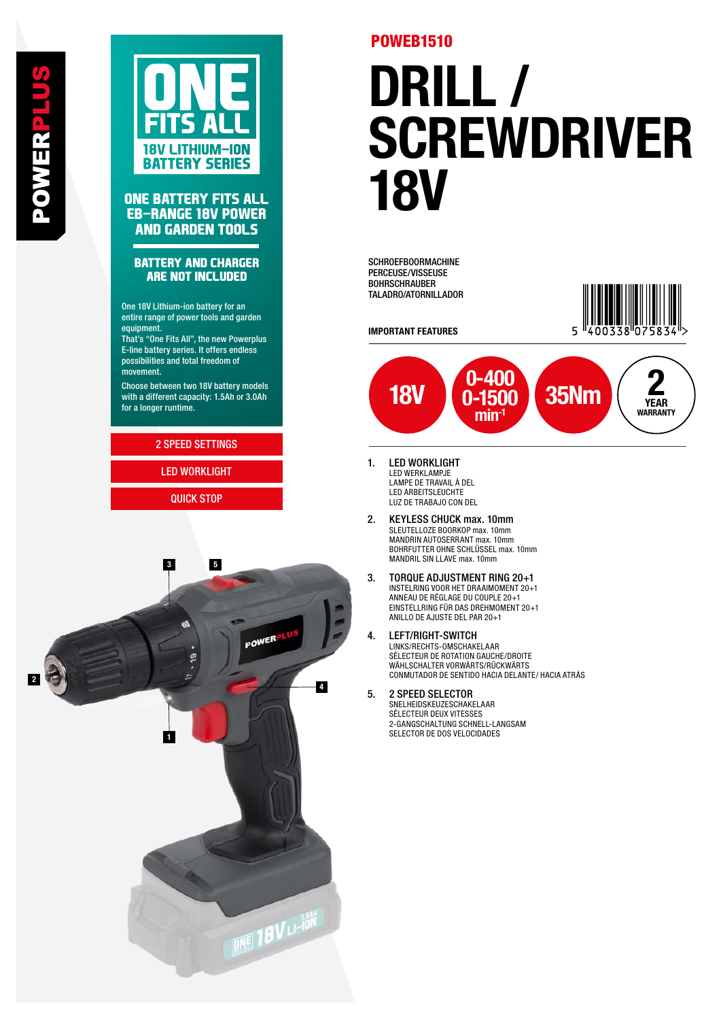

### **ONE BATTERY FITS ALL EB-RANGE 18V POWER AND GARDEN TOOLS**

### **BATTERY AND CHARGER ARE NOT INCLUDED**

One 18V Lithium-ion battery for an entire range of power tools and garden equipment.

That's "One Fits All", the new Powerplus E-line battery series. It offers endless possibilities and total freedom of movement.

Choose between two 18V battery models with a different capacity: 1.5Ah or 3.0Ah for a longer runtime.

### 2 SPEED SETTINGS

LED WORKLIGHT QUICK STOP



## POWEB1510

# DRILL / SCREWDRIVER<br>18V

SCHROEFBOORMACHINE PERCEUSE/VISSEUSE BOHRSCHRAUBER TALADRO/ATORNILLADOR

IMPORTANT FEATURES





- 1. LED WORKLIGHT LED WERKLAMPJE LAMPE DE TRAVAIL À DEL LED ARBEITSLEUCHTE LUZ DE TRABAJO CON DEL
- 2. KEYLESS CHUCK max. 10mm SLEUTELLOZE BOORKOP max. 10mm MANDRIN AUTOSERRANT max. 10mm BOHRFUTTER OHNE SCHLÜSSEL max. 10mm MANDRIL SIN LLAVE max. 10mm
- 3. TORQUE ADJUSTMENT RING 20+1 INSTELRING VOOR HET DRAAIMOMENT 20+1 ANNEAU DE RÉGLAGE DU COUPLE 20+1 EINSTELLRING FÜR DAS DREHMOMENT 20+1 ANILLO DE AJUSTE DEL PAR 20+1
- 4. LEFT/RIGHT-SWITCH LINKS/RECHTS-OMSCHAKELAAR SÉLECTEUR DE ROTATION GAUCHE/DROITE WÄHLSCHALTER VORWÄRTS/RÜCKWÄRTS CONMUTADOR DE SENTIDO HACIA DELANTE/ HACIA ATRÁS

#### 5. 2 SPEED SELECTOR SNELHEIDSKEUZESCHAKELAAR SÉLECTEUR DEUX VITESSES 2-GANGSCHALTUNG SCHNELL-LANGSAM SELECTOR DE DOS VELOCIDADES